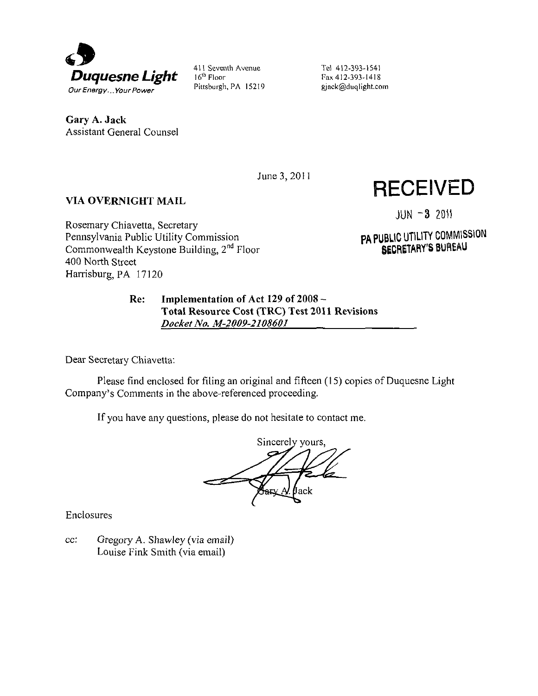

411 Seventh Avenue 16<sup>th</sup> Floor Pittsburgh, PA 15219 Tel 412-393-1541 Fax 412-393-1418 gjack@duqlight.coin

**Gary A. Jack**  Assistant General Counsel

June 3, 2011

# **VIA OVERNIGHT MAIL**

Rosemary Chiavetta, Secretary Pennsylvania Public Utility Commission Commonwealth Keystone Building, 2<sup>nd</sup> Floor 400 North Street Harrisburg, PA 17120

 $JUN = 3$  2011

**RECEIVED** 

PA PUBLIC UTILITY COMMISSION SECRETARY'S BUREAU

# **Re: Implementation of Act 129 of 2008 -** *Total Resource Cost (TRC) Test 2011 Revisions Docket No. M-2009-2108601*

Dear Secretary Chiavetta:

Please find enclosed for filing an original and fifteen (15) copies of Duquesne Light Company's Comments in the above-referenced proceeding.

If you have any questions, please do not hesitate to contact me.

Sincerely yours, Jack

Enclosures

cc: Gregory A. Shawley (via email) Louise Fink Smith (via email)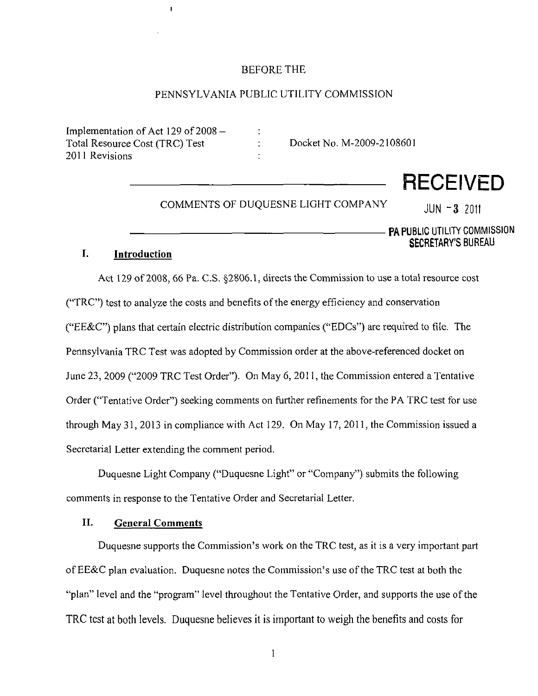#### BEFORE THE

# PENNSYLVANIA PUBLIC UTILITY COMMISSION

 $\ddot{\cdot}$ ÷

Implementation of Act 129 of  $2008 -$ Total Resource Cost (TRC) Test 2011 Revisions

 $\pmb{\cdot}$ 

Docket No. M-2009-2108601

COMMENTS OF DUQUESNE LIGHT COMPANY  $JUN - 3$  2011

**RECEIVED** 

—— PA PUBLIC UTILITY COMMISSION SECRETARY'S BUREAU

#### I. **1. Introduction**

Act 129 of 2008, 66 Pa. C.S. §2806.1, directs the Commission to use a total resource cost ("TRC") test to analyze the costs and benefits of the energy efficiency and conservation ( TRC  $\mathcal{L}$ ) test to analyze the costs and benefits of the energy efficiency and conservation  $\mathcal{L}$ ("EE&C") plans that certain electric distribution companies ("EDCs") are required to file. The ("EE&C") plans that certain electric distribution companies ("EDCs") are required to file. The required to file. The required to file. The required to file. The required to file. The required to file. The required to file Pennsylvania TRC Test was adopted by Commission order at the above-referenced docket on Pennsylvania TRC Test was adopted by Commission order at the above-referenced docket on June 23, 2009 ("2009 TRC Test Order"). On May 6, 2011, the Commission entered a Tentative June 23, 2009 ("2009 TRC Test Order"). On May 6, 2011, the Commission entered a Tentative  $\mathcal{N}$  and the  $\mathcal{N}$  set for  $\mathcal{N}$  the PA TRC test for the PA TRC test for use  $\mathcal{N}$ through May 31, 2013 in compliance with Act 129. On May 17, 2011, the Commission issued a through May 31, 2013 in compliance with Act 129. On May 17, 2011, the Commission issued a Secretarial Letter extending the comment period. Secretarial Letter extending the comment period.

**Duquesne Light Company ("Duquesne Light" or "Company") submits the following comments in response to the Tentative Order and Secretarial Letter.** 

#### II. **IL General Comments**

Duquesne supports the Commission's work on the TRC test, as it is a very important part Duquesne supports the Commission's work on the TRC test, as it is a very important part of EE&C plan evaluation. Duquesne notes the Commission's use of the TRC test at both the of EE&C plan evaluation. Duquesne notes the Commission's use of the TRC test at both the "plan" level and the "program" level throughout the Tentative Order, and supports the use of the TRC test at both levels. Duquesne believes it is important to weigh the benefits and costs for TRC test at both levels. Duquesne believes it is important to weigh the benefits and costs for

 $\mathbf{1}$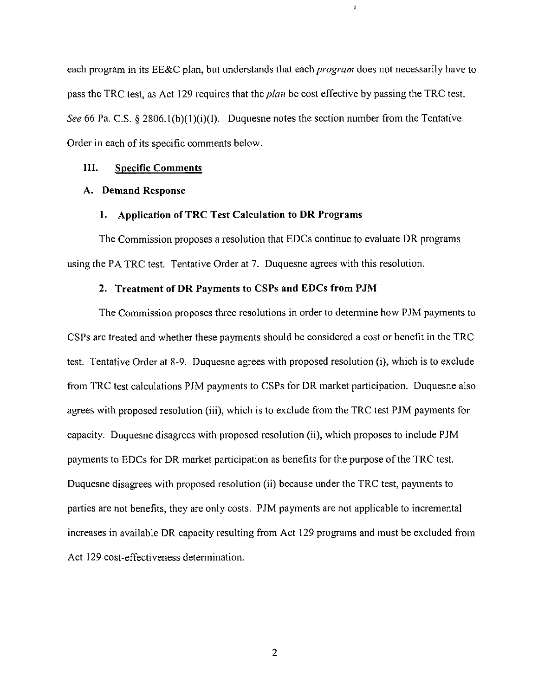each program in its EE&C plan, but understands that each program does not necessarily have to pass the TRC test, as Act 129 requires that the *plan* be cost effective by passing the TRC test. See 66 Pa. C.S. § 2806.1(b)(1)(i)(I). Duquesne notes the section number from the Tentative Order in each of its specific comments below.

 $\pmb{\cdot}$ 

#### **III. Specific Comments**

#### **A. Demand Response**

#### **1. Application of TRC Test Calculation to DR Programs**

The Commission proposes a resolution that EDCs continue to evaluate DR programs using the PA TRC test. Tentative Order at 7. Duquesne agrees with this resolution.

#### **2. Treatment of DR Payments to CSPs and EDCs from PJM**

The Commission proposes three resolutions in order to determine how PJM payments to CSPs are treated and whether these payments should be considered a cost or benefit in the TRC test. Tentative Order at 8-9. Duquesne agrees with proposed resolution (i), which is to exclude from TRC test calculations PJM payments to CSPs for DR market participation. Duquesne also agrees with proposed resolution (iii), which is to exclude from the TRC test PJM payments for capacity. Duquesne disagrees with proposed resolution (ii), which proposes to include PJM payments to EDCs for DR market participation as benefits for the purpose of the TRC test. Duquesne disagrees with proposed resolution (ii) because under the TRC test, payments to parties are not benefits, they are only costs. PJM payments are not applicable to incremental increases in available DR capacity resulting from Act 129 programs and must be excluded from Act 129 cost-effectiveness determination.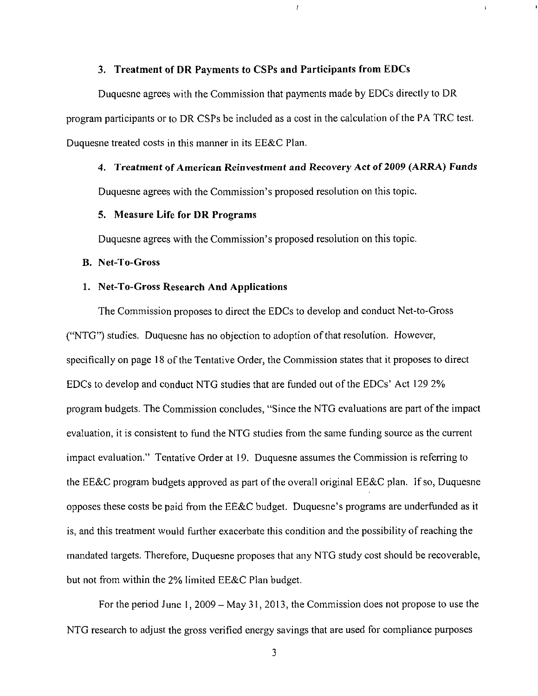#### 3. Treatment of DR Payments to CSPs and Participants from EDCs

Duquesne agrees with the Commission that payments made by EDCs directly to DR program participants or to DR CSPs be included as a cost in the calculation of the PA TRC test. Duquesne treated costs in this manner in its EE&C Plan.

# 4. Treatment of American Reinvestment and Recovery Act of 2009 (ARRA) Funds

 $\mathbf{j}$ 

 $\mathbf{r}$ 

Duquesne agrees with the Commission's proposed resolution on this topic.

#### **5. Measure Life for DR Programs**

**Duquesne agrees with the Commission's proposed resolution on this topic.** 

#### **B. Net-To-Gross**

#### **1. Net-To-Gross Research And Applications**

The Commission proposes to direct the EDCs to develop and conduct Net-to-Gross ("NTG") studies. Duquesne has no objection to adoption of that resolution. However, specifically on page 18 of the Tentative Order, the Commission states that it proposes to direct EDCs to develop and conduct NTG studies that are funded out of the EDCs' Act 129 2% program budgets. The Commission concludes, "Since the NTG evaluations are part of the impact evaluation, it is consistent to fund the NTG studies from the same funding source as the current impact evaluation." Tentative Order at 19. Duquesne assumes the Commission is referring to the EE&C program budgets approved as part of the overall original EE&C plan. If so, Duquesne opposes these costs be paid from the EE&C budget. Duquesne's programs are underfunded as it is, and this treatment would further exacerbate this condition and the possibility of reaching the mandated targets. Therefore, Duquesne proposes that any NTG study cost should be recoverable, but not from within the 2% limited EE&C Plan budget.

For the period June 1, 2009 – May 31, 2013, the Commission does not propose to use the NTG research to adjust the gross verified energy savings that are used for compliance purposes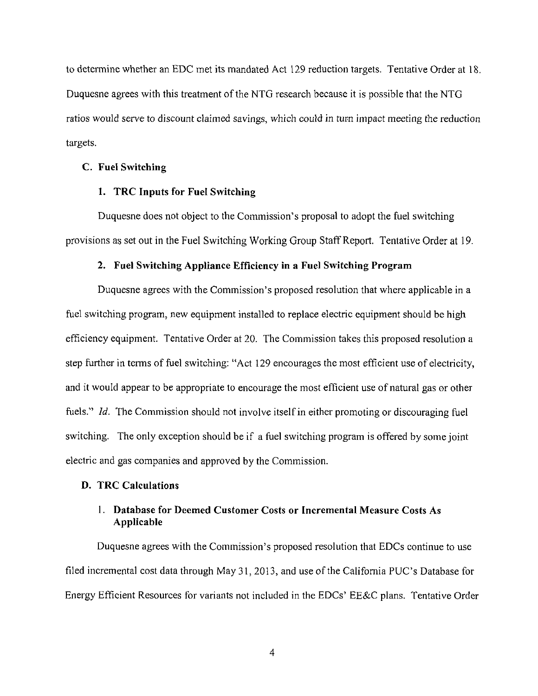to determine whether an EDC met its mandated Act 129 reduction targets. Tentative Order at 18. Duquesne agrees with this treatment of the NTG research because it is possible that the NTG ratios would serve to discount claimed savings, which could in turn impact meeting the reduction targets.

#### **C. Fuel Switching**

#### **1. TRC Inputs for Fuel Switching**

Duquesne does not object to the Commission's proposal to adopt the fuel switching provisions as set out in the Fuel Switching Working Group Staff Report. Tentative Order at 19.

#### 2. Fuel Switching Appliance Efficiency in a Fuel Switching Program

Duquesne agrees with the Commission's proposed resolution that where applicable in a fuel switching program, new equipment installed to replace electric equipment should be high efficiency equipment. Tentative Order at 20. The Commission takes this proposed resolution a step further in terms of fuel switching: "Act 129 encourages the most efficient use of electricity, and it would appear to be appropriate to encourage the most efficient use of natural gas or other fuels." *Id.* The Commission should not involve itself in either promoting or discouraging fuel switching. The only exception should be if a fuel switching program is offered by some joint electric and gas companies and approved by the Commission.

#### **D. TRC Calculations**

# **1. Database for Deemed Customer Costs or Incremental Measure Costs As Applicable**

Duquesne agrees with the Commission's proposed resolution that EDCs continue to use filed incremental cost data through May 31, 2013, and use of the California PUC's Database for Energy Efficient Resources for variants not included in the EDCs' EE&C plans. Tentative Order

 $\overline{4}$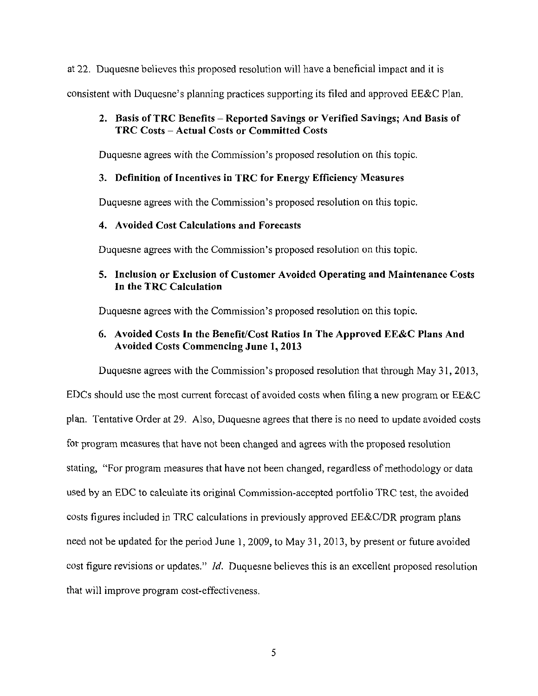at 22. Duquesne believes this proposed resolution will have a beneficial impact and it is

consistent with Duquesne's planning practices supporting its filed and approved EE&C Plan.

# **2. Basis of TRC Benefits - Reported Savings or Verified Savings; And Basis of TRC Costs - Actual Costs or Committed Costs**

Duquesne agrees with the Commission's proposed resolution on this topic.

# 3. Definition of Incentives in TRC for Energy Efficiency Measures

Duquesne agrees with the Commission's proposed resolution on this topic.

# **4. Avoided Cost Calculations and Forecasts**

Duquesne agrees with the Commission's proposed resolution on this topic.

# **5. Inclusion or Exclusion of Customer Avoided Operating and Maintenance Costs In the TRC Calculation**

Duquesne agrees with the Commission's proposed resolution on this topic.

# **6. Avoided Costs In the Benefit/Cost Ratios In The Approved EE&C Plans And Avoided Costs Commencing June 1, 2013**

Duquesne agrees with the Commission's proposed resolution that through May 31, 2013, EDCs should use the most current forecast of avoided costs when filing a new program or EE&C plan. Tentative Order at 29. Also, Duquesne agrees that there is no need to update avoided costs for program measures that have not been changed and agrees with the proposed resolution stating, "For program measures that have not been changed, regardless of methodology or data used by an EDC to calculate its original Commission-accepted portfolio TRC test, the avoided costs figures included in TRC calculations in previously approved EE&C/DR program plans need not be updated for the period June 1, 2009, to May 31, 2013, by present or future avoided cost figure revisions or updates." Id. Duquesne believes this is an excellent proposed resolution that will improve program cost-effectiveness.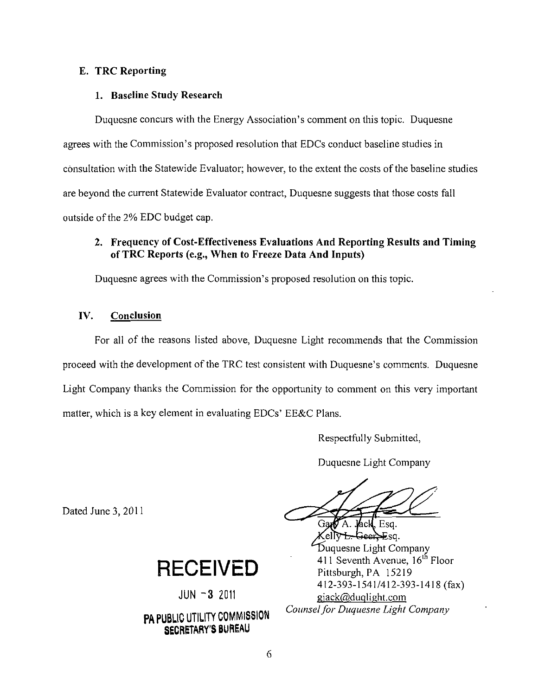# **E. TRC Reporting**

#### **1. Baseline Study Research**

Duquesne concurs with the Energy Association's comment on this topic. Duquesne agrees with the Commission's proposed resolution that EDCs conduct baseline studies in consultation with the Statewide Evaluator; however, to the extent the costs of the baseline studies are beyond the current Statewide Evaluator contract, Duquesne suggests that those costs fall outside of the 2% EDC budget cap.

# **2. Frequency of Cost-Effectiveness Evaluations And Reporting Results and Timing of TRC Reports (e.g., When to Freeze Data And Inputs)**

Duquesne agrees with the Commission's proposed resolution on this topic.

# **IV. Conclusion**

For all of the reasons listed above, Duquesne Light recommends that the Commission proceed with the development of the TRC test consistent with Duquesne's comments. Duquesne Light Company thanks the Commission for the opportunity to comment on this very important matter, which is a key element in evaluating EDCs' EE&C Plans.

Respectfully Submitted,

Duquesne Light Company

Gard A. Jack, Esq. Celly <del>L. Geer E</del>sg. *>uquesne Light Company 411 Seventh Avenue, 16 Floor Pittsburgh, PA 15219 412-393-1541/412-393-1418 (fax) giackfajduqlight-com Counsel for Duquesne Light Company* 

Dated June 3, 2011

**RECEIVED** 

JUN -3 2011

# PA PUBLIC UTILITY COMMISSION SECRETARY'S BUREAU